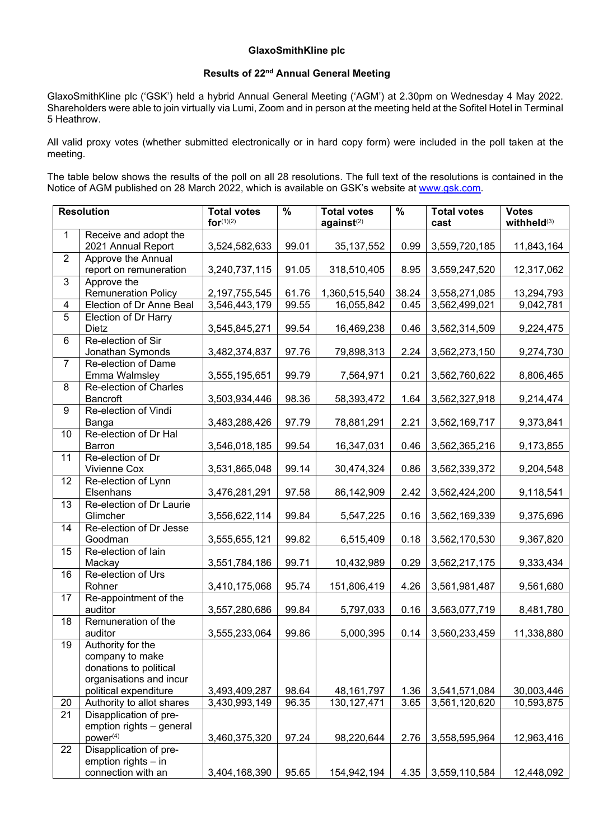## **GlaxoSmithKline plc**

## **Results of 22nd Annual General Meeting**

GlaxoSmithKline plc ('GSK') held a hybrid Annual General Meeting ('AGM') at 2.30pm on Wednesday 4 May 2022. Shareholders were able to join virtually via Lumi, Zoom and in person at the meeting held at the Sofitel Hotel in Terminal 5 Heathrow.

All valid proxy votes (whether submitted electronically or in hard copy form) were included in the poll taken at the meeting.

The table below shows the results of the poll on all 28 resolutions. The full text of the resolutions is contained in the Notice of AGM published on 28 March 2022, which is available on GSK's website at [www.gsk.com.](http://www.gsk.com/)

| <b>Resolution</b> |                                                  | <b>Total votes</b><br>for $(1)(2)$ | $\%$  | <b>Total votes</b><br>agains <sub>t</sub> (2) | $\frac{9}{6}$ | <b>Total votes</b><br>cast | <b>Votes</b><br>withheld <sup>(3)</sup> |
|-------------------|--------------------------------------------------|------------------------------------|-------|-----------------------------------------------|---------------|----------------------------|-----------------------------------------|
| 1                 | Receive and adopt the<br>2021 Annual Report      | 3,524,582,633                      | 99.01 | 35, 137, 552                                  | 0.99          | 3,559,720,185              | 11,843,164                              |
| $\overline{2}$    | Approve the Annual                               |                                    |       |                                               |               |                            |                                         |
|                   | report on remuneration                           | 3,240,737,115                      | 91.05 | 318,510,405                                   | 8.95          | 3,559,247,520              | 12,317,062                              |
| 3                 | Approve the                                      |                                    |       |                                               |               |                            |                                         |
|                   | <b>Remuneration Policy</b>                       | 2,197,755,545                      | 61.76 | 1,360,515,540                                 | 38.24         | 3,558,271,085              | 13,294,793                              |
| 4                 | Election of Dr Anne Beal                         | 3,546,443,179                      | 99.55 | 16,055,842                                    | 0.45          | 3,562,499,021              | 9,042,781                               |
| $\overline{5}$    | Election of Dr Harry                             |                                    |       |                                               |               |                            |                                         |
|                   | Dietz                                            | 3,545,845,271                      | 99.54 | 16,469,238                                    | 0.46          | 3,562,314,509              | 9,224,475                               |
| 6                 | Re-election of Sir                               |                                    |       |                                               |               |                            |                                         |
|                   | Jonathan Symonds                                 | 3,482,374,837                      | 97.76 | 79,898,313                                    | 2.24          | 3,562,273,150              | 9,274,730                               |
| $\overline{7}$    | Re-election of Dame                              |                                    | 99.79 |                                               | 0.21          |                            |                                         |
| 8                 | Emma Walmsley<br>Re-election of Charles          | 3,555,195,651                      |       | 7,564,971                                     |               | 3,562,760,622              | 8,806,465                               |
|                   | <b>Bancroft</b>                                  | 3,503,934,446                      | 98.36 | 58,393,472                                    | 1.64          | 3,562,327,918              | 9,214,474                               |
| 9                 | Re-election of Vindi                             |                                    |       |                                               |               |                            |                                         |
|                   | Banga                                            | 3,483,288,426                      | 97.79 | 78,881,291                                    | 2.21          | 3,562,169,717              | 9,373,841                               |
| 10                | Re-election of Dr Hal                            |                                    |       |                                               |               |                            |                                         |
|                   | Barron                                           | 3,546,018,185                      | 99.54 | 16,347,031                                    | 0.46          | 3,562,365,216              | 9,173,855                               |
| $\overline{11}$   | Re-election of Dr                                |                                    |       |                                               |               |                            |                                         |
|                   | Vivienne Cox                                     | 3,531,865,048                      | 99.14 | 30,474,324                                    | 0.86          | 3,562,339,372              | 9,204,548                               |
| $\overline{12}$   | Re-election of Lynn                              |                                    |       |                                               |               |                            |                                         |
|                   | Elsenhans                                        | 3,476,281,291                      | 97.58 | 86,142,909                                    | 2.42          | 3,562,424,200              | 9,118,541                               |
| 13                | Re-election of Dr Laurie<br>Glimcher             | 3,556,622,114                      | 99.84 | 5,547,225                                     | 0.16          | 3,562,169,339              | 9,375,696                               |
| 14                | Re-election of Dr Jesse                          |                                    |       |                                               |               |                            |                                         |
|                   | Goodman                                          | 3,555,655,121                      | 99.82 | 6,515,409                                     | 0.18          | 3,562,170,530              | 9,367,820                               |
| 15                | Re-election of lain                              |                                    |       |                                               |               |                            |                                         |
|                   | Mackay                                           | 3,551,784,186                      | 99.71 | 10,432,989                                    | 0.29          | 3,562,217,175              | 9,333,434                               |
| 16                | Re-election of Urs                               |                                    |       |                                               |               |                            |                                         |
|                   | Rohner                                           | 3,410,175,068                      | 95.74 | 151,806,419                                   | 4.26          | 3,561,981,487              | 9,561,680                               |
| 17                | Re-appointment of the<br>auditor                 | 3,557,280,686                      | 99.84 | 5,797,033                                     | 0.16          | 3,563,077,719              | 8,481,780                               |
| 18                | Remuneration of the                              |                                    |       |                                               |               |                            |                                         |
|                   | auditor                                          | 3,555,233,064                      | 99.86 | 5,000,395                                     | 0.14          | 3,560,233,459              | 11,338,880                              |
| 19                | Authority for the                                |                                    |       |                                               |               |                            |                                         |
|                   | company to make                                  |                                    |       |                                               |               |                            |                                         |
|                   | donations to political                           |                                    |       |                                               |               |                            |                                         |
|                   | organisations and incur<br>political expenditure | 3,493,409,287                      | 98.64 | 48, 161, 797                                  | 1.36          | 3,541,571,084              | 30,003,446                              |
| 20                | Authority to allot shares                        | 3,430,993,149                      | 96.35 | 130, 127, 471                                 | 3.65          | 3,561,120,620              | 10,593,875                              |
| 21                | Disapplication of pre-                           |                                    |       |                                               |               |                            |                                         |
|                   | emption rights - general                         |                                    |       |                                               |               |                            |                                         |
|                   | power <sup>(4)</sup>                             | 3,460,375,320                      | 97.24 | 98,220,644                                    | 2.76          | 3,558,595,964              | 12,963,416                              |
| 22                | Disapplication of pre-                           |                                    |       |                                               |               |                            |                                         |
|                   | emption rights $-$ in                            |                                    |       |                                               |               |                            |                                         |
|                   | connection with an                               | 3,404,168,390                      | 95.65 | 154,942,194                                   | 4.35          | 3,559,110,584              | 12,448,092                              |